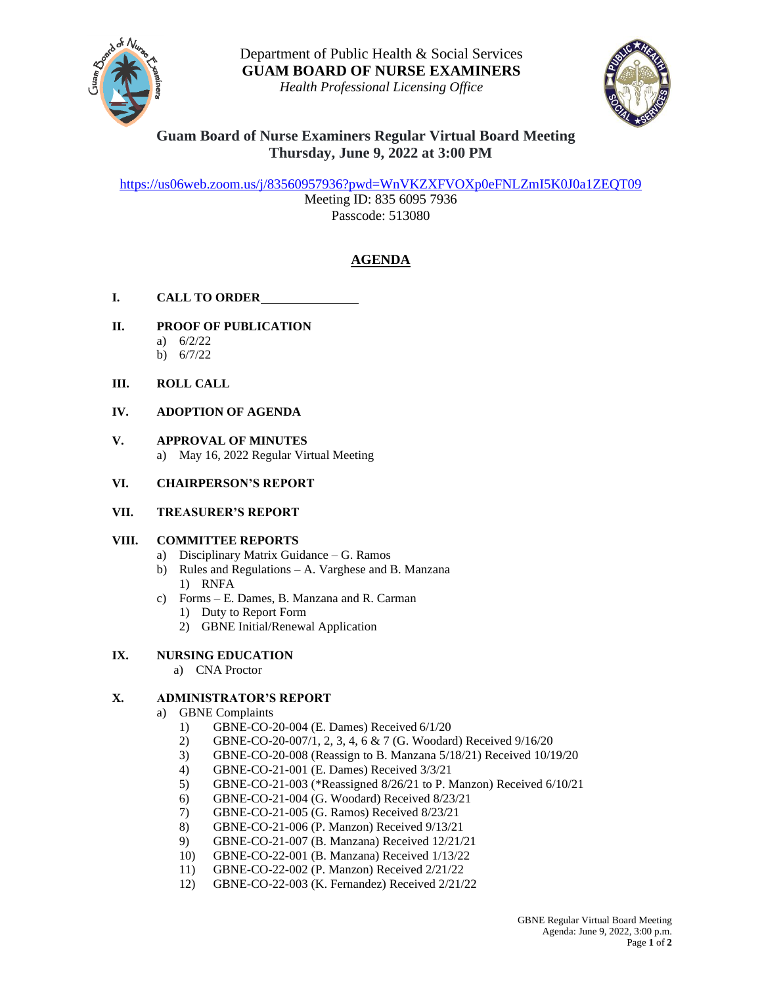

*Health Professional Licensing Office*



# **Guam Board of Nurse Examiners Regular Virtual Board Meeting Thursday, June 9, 2022 at 3:00 PM**

<https://us06web.zoom.us/j/83560957936?pwd=WnVKZXFVOXp0eFNLZmI5K0J0a1ZEQT09>

Meeting ID: 835 6095 7936 Passcode: 513080

# **AGENDA**

# **I. CALL TO ORDER**

- **II. PROOF OF PUBLICATION**
	- a) 6/2/22
	- b) 6/7/22

### **III. ROLL CALL**

# **IV. ADOPTION OF AGENDA**

**V. APPROVAL OF MINUTES** a) May 16, 2022 Regular Virtual Meeting

### **VI. CHAIRPERSON'S REPORT**

### **VII. TREASURER'S REPORT**

# **VIII. COMMITTEE REPORTS**

- a) Disciplinary Matrix Guidance G. Ramos
- b) Rules and Regulations A. Varghese and B. Manzana 1) RNFA
- c) Forms E. Dames, B. Manzana and R. Carman
	- 1) Duty to Report Form
	- 2) GBNE Initial/Renewal Application

# **IX. NURSING EDUCATION**

a) CNA Proctor

# **X. ADMINISTRATOR'S REPORT**

- a) GBNE Complaints
	- 1) GBNE-CO-20-004 (E. Dames) Received 6/1/20
	- 2) GBNE-CO-20-007/1, 2, 3, 4, 6 & 7 (G. Woodard) Received 9/16/20
	- 3) GBNE-CO-20-008 (Reassign to B. Manzana 5/18/21) Received 10/19/20
	- 4) GBNE-CO-21-001 (E. Dames) Received 3/3/21
	- 5) GBNE-CO-21-003 (\*Reassigned 8/26/21 to P. Manzon) Received 6/10/21
	- 6) GBNE-CO-21-004 (G. Woodard) Received 8/23/21
	- 7) GBNE-CO-21-005 (G. Ramos) Received 8/23/21
	- 8) GBNE-CO-21-006 (P. Manzon) Received 9/13/21
	- 9) GBNE-CO-21-007 (B. Manzana) Received 12/21/21
	- 10) GBNE-CO-22-001 (B. Manzana) Received 1/13/22
	- 11) GBNE-CO-22-002 (P. Manzon) Received 2/21/22
	- 12) GBNE-CO-22-003 (K. Fernandez) Received 2/21/22